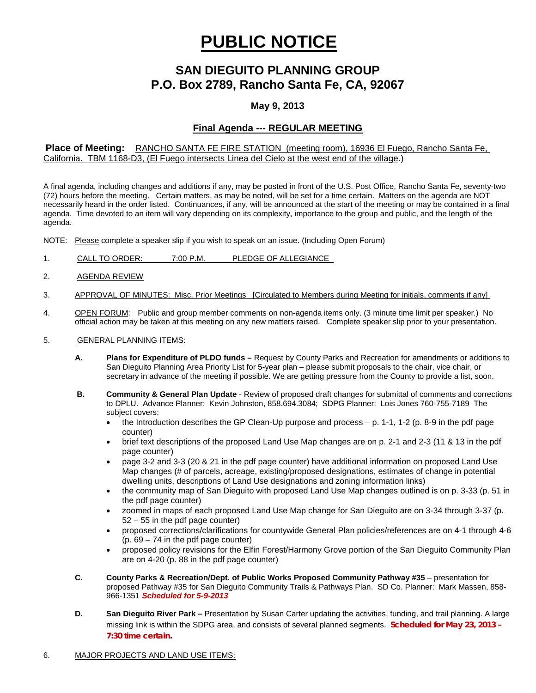# **PUBLIC NOTICE**

## **SAN DIEGUITO PLANNING GROUP P.O. Box 2789, Rancho Santa Fe, CA, 92067**

## **May 9, 2013**

## **Final Agenda --- REGULAR MEETING**

### **Place of Meeting:** RANCHO SANTA FE FIRE STATION (meeting room), 16936 El Fuego, Rancho Santa Fe, California. TBM 1168-D3, (El Fuego intersects Linea del Cielo at the west end of the village.)

A final agenda, including changes and additions if any, may be posted in front of the U.S. Post Office, Rancho Santa Fe, seventy-two (72) hours before the meeting. Certain matters, as may be noted, will be set for a time certain. Matters on the agenda are NOT necessarily heard in the order listed. Continuances, if any, will be announced at the start of the meeting or may be contained in a final agenda. Time devoted to an item will vary depending on its complexity, importance to the group and public, and the length of the agenda.

NOTE: Please complete a speaker slip if you wish to speak on an issue. (Including Open Forum)

- 1. CALL TO ORDER: 7:00 P.M. PLEDGE OF ALLEGIANCE
- 2. AGENDA REVIEW
- 3. APPROVAL OF MINUTES: Misc. Prior Meetings [Circulated to Members during Meeting for initials, comments if any]
- 4. OPEN FORUM: Public and group member comments on non-agenda items only. (3 minute time limit per speaker.) No official action may be taken at this meeting on any new matters raised. Complete speaker slip prior to your presentation.

#### 5. GENERAL PLANNING ITEMS:

- **A. Plans for Expenditure of PLDO funds –** Request by County Parks and Recreation for amendments or additions to San Dieguito Planning Area Priority List for 5-year plan – please submit proposals to the chair, vice chair, or secretary in advance of the meeting if possible. We are getting pressure from the County to provide a list, soon.
- **B. Community & General Plan Update** Review of proposed draft changes for submittal of comments and corrections to DPLU. Advance Planner: Kevin Johnston, 858.694.3084; SDPG Planner: Lois Jones 760-755-7189 The subject covers:
	- the Introduction describes the GP Clean-Up purpose and process  $p$ . 1-1, 1-2 (p. 8-9 in the pdf page counter)
	- brief text descriptions of the proposed Land Use Map changes are on p. 2-1 and 2-3 (11 & 13 in the pdf page counter)
	- page 3-2 and 3-3 (20 & 21 in the pdf page counter) have additional information on proposed Land Use Map changes (# of parcels, acreage, existing/proposed designations, estimates of change in potential dwelling units, descriptions of Land Use designations and zoning information links)
	- the community map of San Dieguito with proposed Land Use Map changes outlined is on p. 3-33 (p. 51 in the pdf page counter)
	- zoomed in maps of each proposed Land Use Map change for San Dieguito are on 3-34 through 3-37 (p. 52 – 55 in the pdf page counter)
	- proposed corrections/clarifications for countywide General Plan policies/references are on 4-1 through 4-6 (p. 69 – 74 in the pdf page counter)
	- proposed policy revisions for the Elfin Forest/Harmony Grove portion of the San Dieguito Community Plan are on 4-20 (p. 88 in the pdf page counter)
- **C. County Parks & Recreation/Dept. of Public Works Proposed Community Pathway #35** presentation for proposed Pathway #35 for San Dieguito Community Trails & Pathways Plan. SD Co. Planner: Mark Massen, 858- 966-1351 *Scheduled for 5-9-2013*
- **D. San Dieguito River Park –** Presentation by Susan Carter updating the activities, funding, and trail planning. A large missing link is within the SDPG area, and consists of several planned segments. *Scheduled for May 23, 2013 – 7:30 time certain.*

#### 6. MAJOR PROJECTS AND LAND USE ITEMS: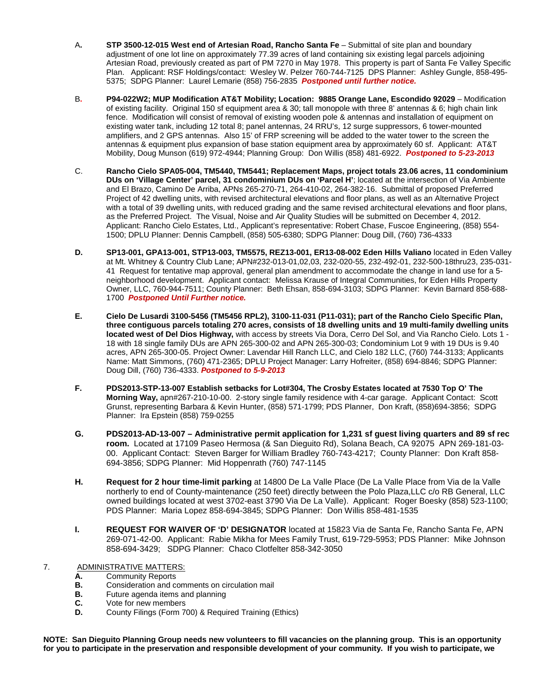- A**. STP 3500-12-015 West end of Artesian Road, Rancho Santa Fe** Submittal of site plan and boundary adjustment of one lot line on approximately 77.39 acres of land containing six existing legal parcels adjoining Artesian Road, previously created as part of PM 7270 in May 1978. This property is part of Santa Fe Valley Specific Plan.Applicant: RSF Holdings/contact: Wesley W. Pelzer 760-744-7125 DPS Planner: Ashley Gungle, 858-495- 5375; SDPG Planner: Laurel Lemarie (858) 756-2835 *Postponed until further notice.*
- B**. P94-022W2; MUP Modification AT&T Mobility; Location: 9885 Orange Lane, Escondido 92029** Modification of existing facility. Original 150 sf equipment area & 30; tall monopole with three 8' antennas & 6; high chain link fence. Modification will consist of removal of existing wooden pole & antennas and installation of equipment on existing water tank, including 12 total 8; panel antennas, 24 RRU's, 12 surge suppressors, 6 tower-mounted amplifiers, and 2 GPS antennas. Also 15' of FRP screening will be added to the water tower to the screen the antennas & equipment plus expansion of base station equipment area by approximately 60 sf. Applicant: AT&T Mobility, Doug Munson (619) 972-4944; Planning Group: Don Willis (858) 481-6922. *Postponed to 5-23-2013*
- C. **Rancho Cielo SPA05-004, TM5440, TM5441; Replacement Maps, project totals 23.06 acres, 11 condominium DUs on 'Village Center' parcel, 31 condominium DUs on 'Parcel H'**; located at the intersection of Via Ambiente and El Brazo, Camino De Arriba, APNs 265-270-71, 264-410-02, 264-382-16. Submittal of proposed Preferred Project of 42 dwelling units, with revised architectural elevations and floor plans, as well as an Alternative Project with a total of 39 dwelling units, with reduced grading and the same revised architectural elevations and floor plans, as the Preferred Project. The Visual, Noise and Air Quality Studies will be submitted on December 4, 2012. Applicant: Rancho Cielo Estates, Ltd., Applicant's representative: Robert Chase, Fuscoe Engineering, (858) 554- 1500; DPLU Planner: Dennis Campbell, (858) 505-6380; SDPG Planner: Doug Dill, (760) 736-4333
- **D. SP13-001, GPA13-001, STP13-003, TM5575, REZ13-001, ER13-08-002 Eden Hills Valiano** located in Eden Valley at Mt. Whitney & Country Club Lane; APN#232-013-01,02,03, 232-020-55, 232-492-01, 232-500-18thru23, 235-031- 41 Request for tentative map approval, general plan amendment to accommodate the change in land use for a 5 neighborhood development. Applicant contact: Melissa Krause of Integral Communities, for Eden Hills Property Owner, LLC, 760-944-7511; County Planner: Beth Ehsan, 858-694-3103; SDPG Planner: Kevin Barnard 858-688- 1700 *Postponed Until Further notice.*
- **E. Cielo De Lusardi 3100-5456 (TM5456 RPL2), 3100-11-031 (P11-031); part of the Rancho Cielo Specific Plan, three contiguous parcels totaling 270 acres, consists of 18 dwelling units and 19 multi-family dwelling units located west of Del Dios Highway,** with access by streets Via Dora, Cerro Del Sol, and Via Rancho Cielo. Lots 1 - 18 with 18 single family DUs are APN 265-300-02 and APN 265-300-03; Condominium Lot 9 with 19 DUs is 9.40 acres, APN 265-300-05. Project Owner: Lavendar Hill Ranch LLC, and Cielo 182 LLC, (760) 744-3133; Applicants Name: Matt Simmons, (760) 471-2365; DPLU Project Manager: Larry Hofreiter, (858) 694-8846; SDPG Planner: Doug Dill, (760) 736-4333. *Postponed to 5-9-2013*
- **F. PDS2013-STP-13-007 Establish setbacks for Lot#304, The Crosby Estates located at 7530 Top O' The Morning Way,** apn#267-210-10-00. 2-story single family residence with 4-car garage. Applicant Contact: Scott Grunst, representing Barbara & Kevin Hunter, (858) 571-1799; PDS Planner, Don Kraft, (858)694-3856; SDPG Planner: Ira Epstein (858) 759-0255
- **G. PDS2013-AD-13-007 – Administrative permit application for 1,231 sf guest living quarters and 89 sf rec room.** Located at 17109 Paseo Hermosa (& San Dieguito Rd), Solana Beach, CA 92075 APN 269-181-03- 00. Applicant Contact: Steven Barger for William Bradley 760-743-4217; County Planner: Don Kraft 858- 694-3856; SDPG Planner: Mid Hoppenrath (760) 747-1145
- **H. Request for 2 hour time-limit parking** at 14800 De La Valle Place (De La Valle Place from Via de la Valle northerly to end of County-maintenance (250 feet) directly between the Polo Plaza,LLC c/o RB General, LLC owned buildings located at west 3702-east 3790 Via De La Valle). Applicant: Roger Boesky (858) 523-1100; PDS Planner: Maria Lopez 858-694-3845; SDPG Planner: Don Willis 858-481-1535
- **I. REQUEST FOR WAIVER OF 'D' DESIGNATOR** located at 15823 Via de Santa Fe, Rancho Santa Fe, APN 269-071-42-00. Applicant: Rabie Mikha for Mees Family Trust, 619-729-5953; PDS Planner: Mike Johnson 858-694-3429; SDPG Planner: Chaco Clotfelter 858-342-3050
- 7. ADMINISTRATIVE MATTERS:<br>**A.** Community Reports
	- **A.** Community Reports<br>**B.** Consideration and com-
	- **B.** Consideration and comments on circulation mail<br>**B.** Future agenda items and planning
	- **B.** Future agenda items and planning
	- **C.** Vote for new members<br>**D.** County Filings (Form 7)
	- **D.** County Filings (Form 700) & Required Training (Ethics)

**NOTE: San Dieguito Planning Group needs new volunteers to fill vacancies on the planning group. This is an opportunity for you to participate in the preservation and responsible development of your community. If you wish to participate, we**